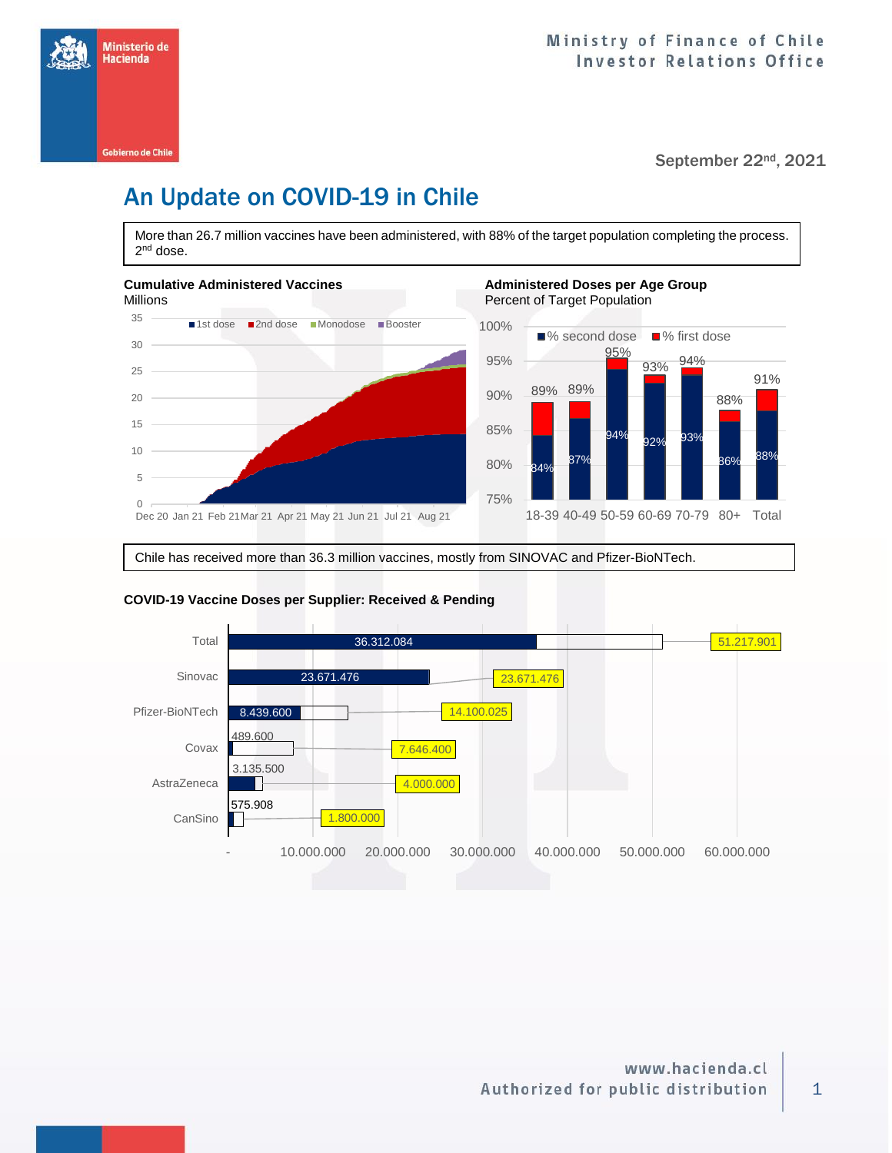

# An Update on COVID-19 in Chile

More than 26.7 million vaccines have been administered, with 88% of the target population completing the process. 2<sup>nd</sup> dose.



Chile has received more than 36.3 million vaccines, mostly from SINOVAC and Pfizer-BioNTech.



### **COVID-19 Vaccine Doses per Supplier: Received & Pending**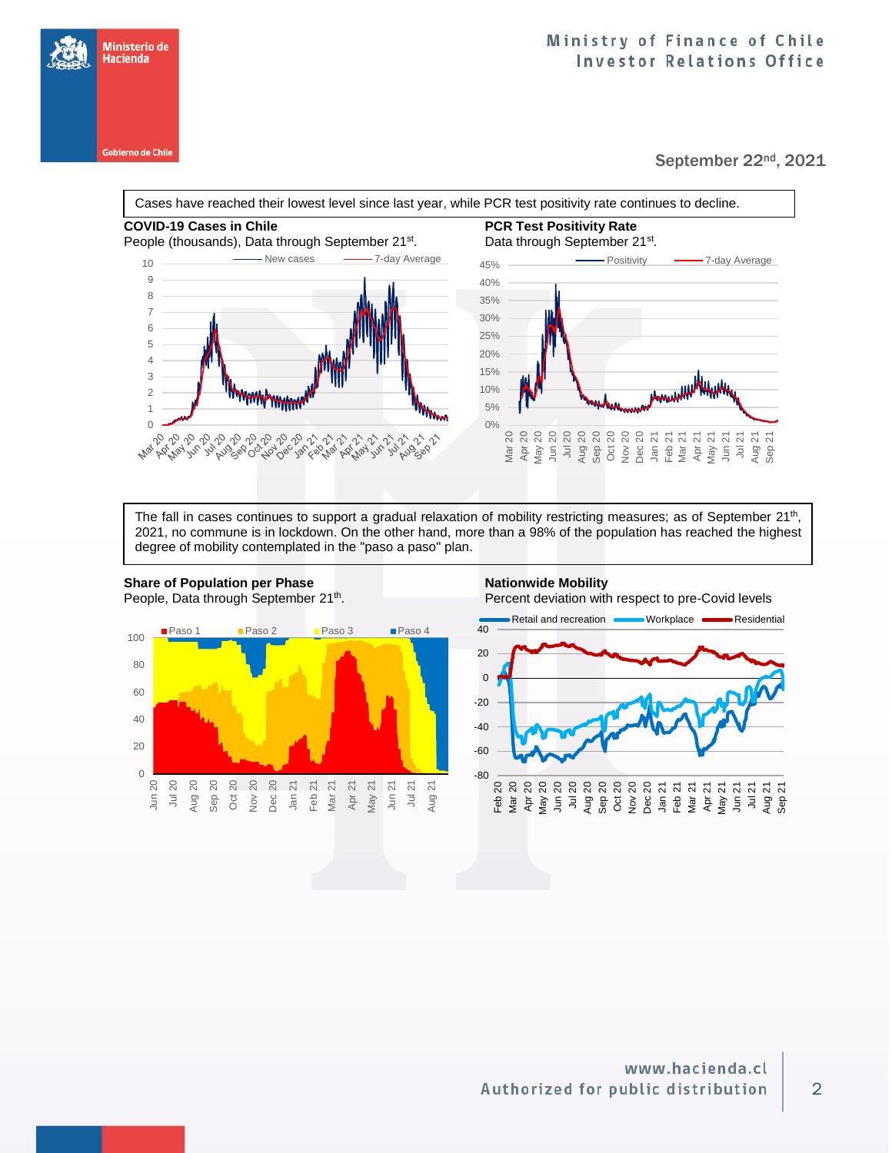**Gobierno de Chile** 

Ministerio de Hacienda

### September 22nd, 2021

Cases have reached their lowest level since last year, while PCR test positivity rate continues to decline.





The fall in cases continues to support a gradual relaxation of mobility restricting measures; as of September 21<sup>th</sup>, 2021, no commune is in lockdown. On the other hand, more than a 98% of the population has reached the highest degree of mobility contemplated in the "paso a paso" plan.



. Percent deviation with respect to pre-Covid levels